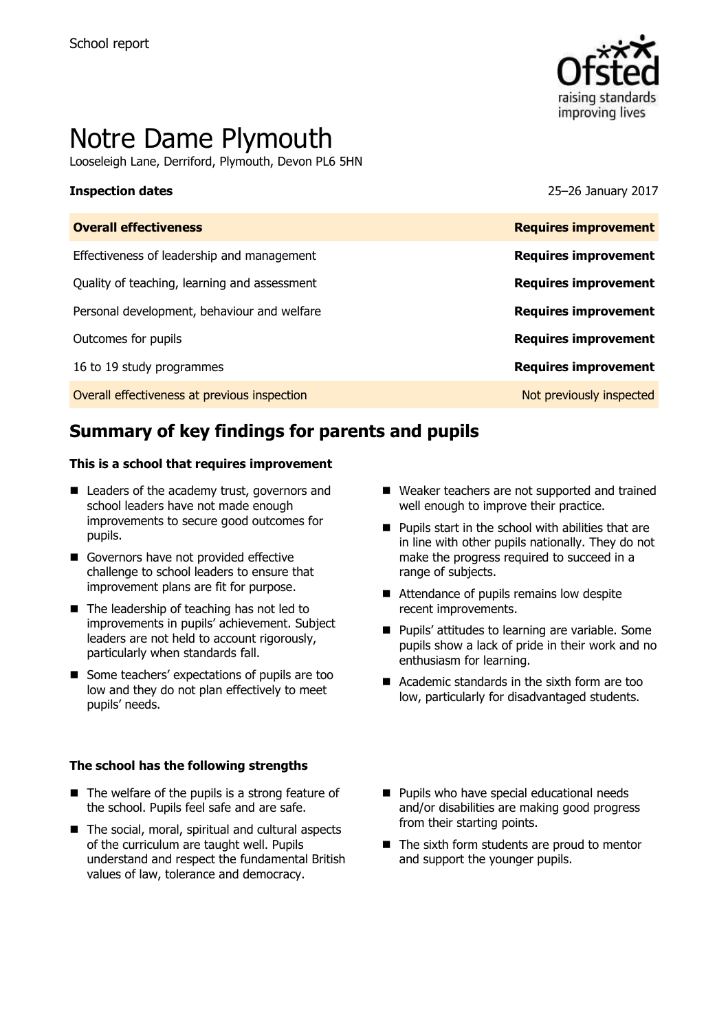

# Notre Dame Plymouth

Looseleigh Lane, Derriford, Plymouth, Devon PL6 5HN

**Inspection dates** 25–26 January 2017

| <b>Overall effectiveness</b>                 | <b>Requires improvement</b> |
|----------------------------------------------|-----------------------------|
| Effectiveness of leadership and management   | <b>Requires improvement</b> |
| Quality of teaching, learning and assessment | <b>Requires improvement</b> |
| Personal development, behaviour and welfare  | <b>Requires improvement</b> |
| Outcomes for pupils                          | <b>Requires improvement</b> |
| 16 to 19 study programmes                    | <b>Requires improvement</b> |
| Overall effectiveness at previous inspection | Not previously inspected    |
|                                              |                             |

# **Summary of key findings for parents and pupils**

### **This is a school that requires improvement**

- Leaders of the academy trust, governors and school leaders have not made enough improvements to secure good outcomes for pupils.
- Governors have not provided effective challenge to school leaders to ensure that improvement plans are fit for purpose.
- The leadership of teaching has not led to improvements in pupils' achievement. Subject leaders are not held to account rigorously, particularly when standards fall.
- Some teachers' expectations of pupils are too low and they do not plan effectively to meet pupils' needs.

### **The school has the following strengths**

- $\blacksquare$  The welfare of the pupils is a strong feature of the school. Pupils feel safe and are safe.
- The social, moral, spiritual and cultural aspects of the curriculum are taught well. Pupils understand and respect the fundamental British values of law, tolerance and democracy.
- Weaker teachers are not supported and trained well enough to improve their practice.
- $\blacksquare$  Pupils start in the school with abilities that are in line with other pupils nationally. They do not make the progress required to succeed in a range of subjects.
- Attendance of pupils remains low despite recent improvements.
- **Pupils' attitudes to learning are variable. Some** pupils show a lack of pride in their work and no enthusiasm for learning.
- Academic standards in the sixth form are too low, particularly for disadvantaged students.
- **Pupils who have special educational needs** and/or disabilities are making good progress from their starting points.
- $\blacksquare$  The sixth form students are proud to mentor and support the younger pupils.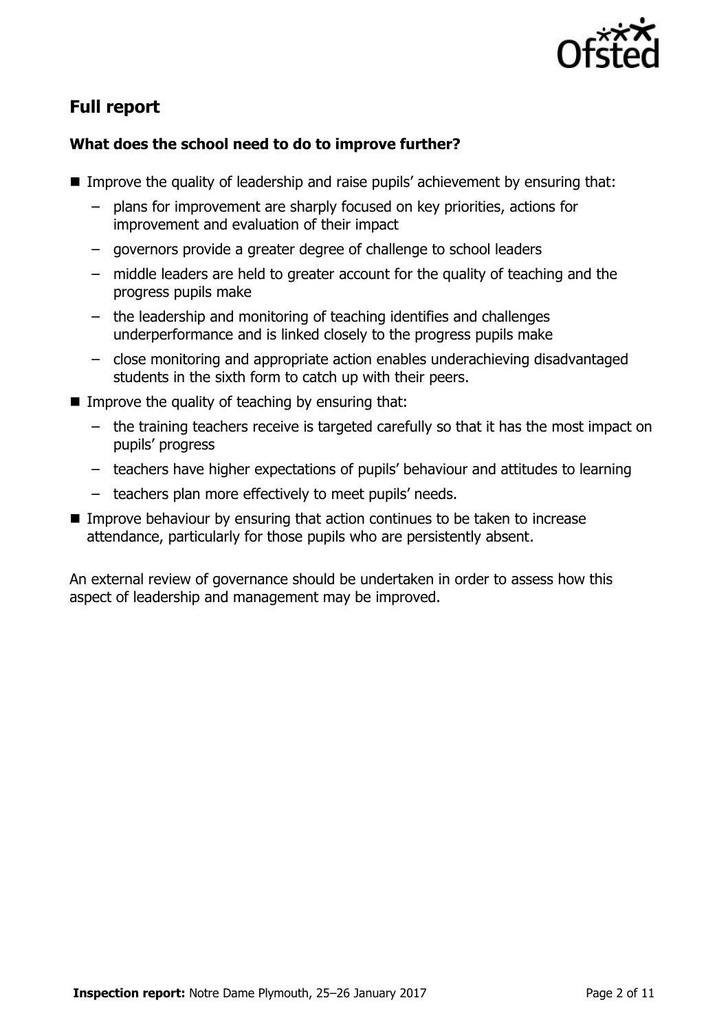

# **Full report**

### **What does the school need to do to improve further?**

- Improve the quality of leadership and raise pupils' achievement by ensuring that:
	- plans for improvement are sharply focused on key priorities, actions for improvement and evaluation of their impact
	- governors provide a greater degree of challenge to school leaders
	- middle leaders are held to greater account for the quality of teaching and the progress pupils make
	- the leadership and monitoring of teaching identifies and challenges underperformance and is linked closely to the progress pupils make
	- close monitoring and appropriate action enables underachieving disadvantaged students in the sixth form to catch up with their peers.
- $\blacksquare$  Improve the quality of teaching by ensuring that:
	- the training teachers receive is targeted carefully so that it has the most impact on pupils' progress
	- teachers have higher expectations of pupils' behaviour and attitudes to learning
	- teachers plan more effectively to meet pupils' needs.
- Improve behaviour by ensuring that action continues to be taken to increase attendance, particularly for those pupils who are persistently absent.

An external review of governance should be undertaken in order to assess how this aspect of leadership and management may be improved.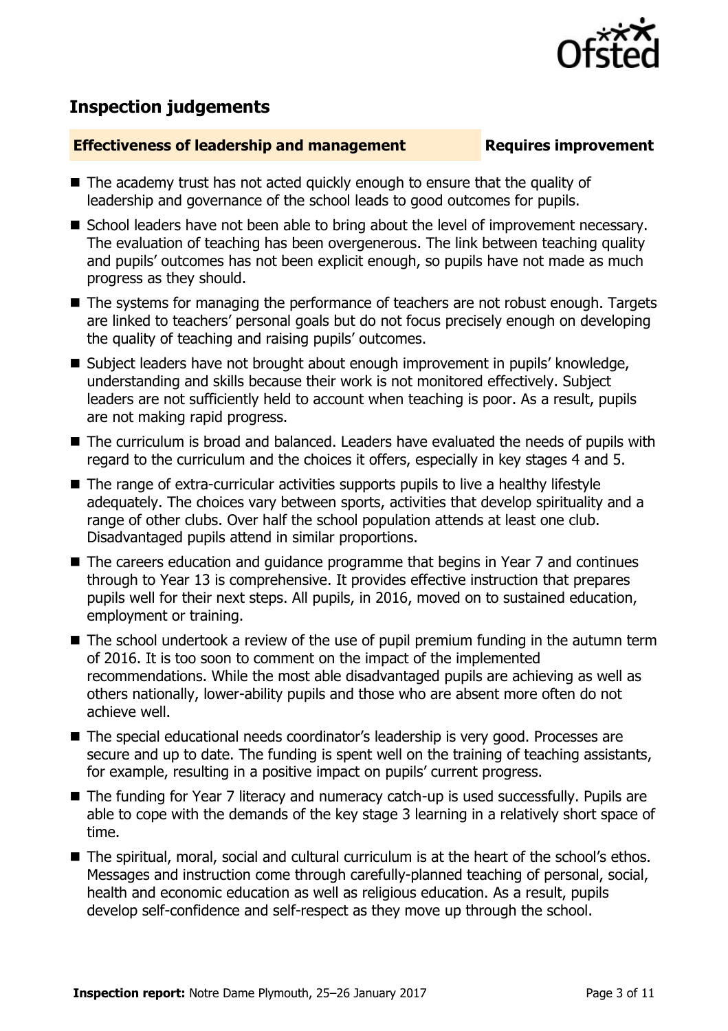

## **Inspection judgements**

### **Effectiveness of leadership and management Requires improvement**

- The academy trust has not acted quickly enough to ensure that the quality of leadership and governance of the school leads to good outcomes for pupils.
- School leaders have not been able to bring about the level of improvement necessary. The evaluation of teaching has been overgenerous. The link between teaching quality and pupils' outcomes has not been explicit enough, so pupils have not made as much progress as they should.
- The systems for managing the performance of teachers are not robust enough. Targets are linked to teachers' personal goals but do not focus precisely enough on developing the quality of teaching and raising pupils' outcomes.
- Subject leaders have not brought about enough improvement in pupils' knowledge, understanding and skills because their work is not monitored effectively. Subject leaders are not sufficiently held to account when teaching is poor. As a result, pupils are not making rapid progress.
- The curriculum is broad and balanced. Leaders have evaluated the needs of pupils with regard to the curriculum and the choices it offers, especially in key stages 4 and 5.
- The range of extra-curricular activities supports pupils to live a healthy lifestyle adequately. The choices vary between sports, activities that develop spirituality and a range of other clubs. Over half the school population attends at least one club. Disadvantaged pupils attend in similar proportions.
- The careers education and quidance programme that begins in Year 7 and continues through to Year 13 is comprehensive. It provides effective instruction that prepares pupils well for their next steps. All pupils, in 2016, moved on to sustained education, employment or training.
- The school undertook a review of the use of pupil premium funding in the autumn term of 2016. It is too soon to comment on the impact of the implemented recommendations. While the most able disadvantaged pupils are achieving as well as others nationally, lower-ability pupils and those who are absent more often do not achieve well.
- The special educational needs coordinator's leadership is very good. Processes are secure and up to date. The funding is spent well on the training of teaching assistants, for example, resulting in a positive impact on pupils' current progress.
- The funding for Year 7 literacy and numeracy catch-up is used successfully. Pupils are able to cope with the demands of the key stage 3 learning in a relatively short space of time.
- The spiritual, moral, social and cultural curriculum is at the heart of the school's ethos. Messages and instruction come through carefully-planned teaching of personal, social, health and economic education as well as religious education. As a result, pupils develop self-confidence and self-respect as they move up through the school.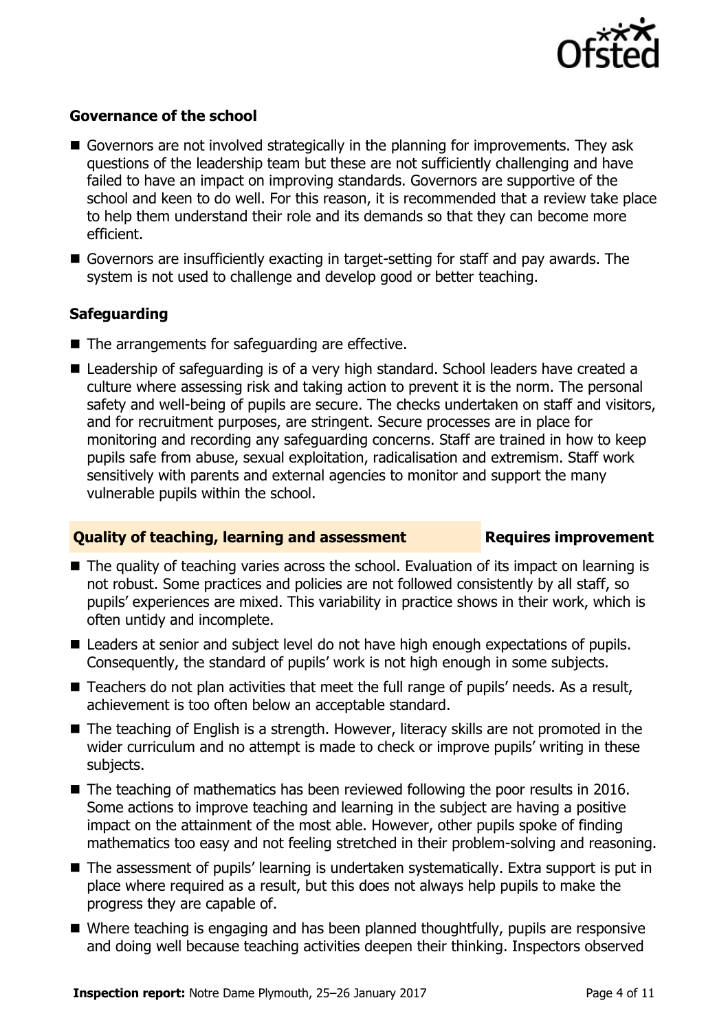

### **Governance of the school**

- Governors are not involved strategically in the planning for improvements. They ask questions of the leadership team but these are not sufficiently challenging and have failed to have an impact on improving standards. Governors are supportive of the school and keen to do well. For this reason, it is recommended that a review take place to help them understand their role and its demands so that they can become more efficient.
- Governors are insufficiently exacting in target-setting for staff and pay awards. The system is not used to challenge and develop good or better teaching.

### **Safeguarding**

- The arrangements for safeguarding are effective.
- Leadership of safeguarding is of a very high standard. School leaders have created a culture where assessing risk and taking action to prevent it is the norm. The personal safety and well-being of pupils are secure. The checks undertaken on staff and visitors, and for recruitment purposes, are stringent. Secure processes are in place for monitoring and recording any safeguarding concerns. Staff are trained in how to keep pupils safe from abuse, sexual exploitation, radicalisation and extremism. Staff work sensitively with parents and external agencies to monitor and support the many vulnerable pupils within the school.

### **Quality of teaching, learning and assessment Requires improvement**

- The quality of teaching varies across the school. Evaluation of its impact on learning is not robust. Some practices and policies are not followed consistently by all staff, so pupils' experiences are mixed. This variability in practice shows in their work, which is often untidy and incomplete.
- Leaders at senior and subject level do not have high enough expectations of pupils. Consequently, the standard of pupils' work is not high enough in some subjects.
- Teachers do not plan activities that meet the full range of pupils' needs. As a result, achievement is too often below an acceptable standard.
- The teaching of English is a strength. However, literacy skills are not promoted in the wider curriculum and no attempt is made to check or improve pupils' writing in these subjects.
- The teaching of mathematics has been reviewed following the poor results in 2016. Some actions to improve teaching and learning in the subject are having a positive impact on the attainment of the most able. However, other pupils spoke of finding mathematics too easy and not feeling stretched in their problem-solving and reasoning.
- The assessment of pupils' learning is undertaken systematically. Extra support is put in place where required as a result, but this does not always help pupils to make the progress they are capable of.
- Where teaching is engaging and has been planned thoughtfully, pupils are responsive and doing well because teaching activities deepen their thinking. Inspectors observed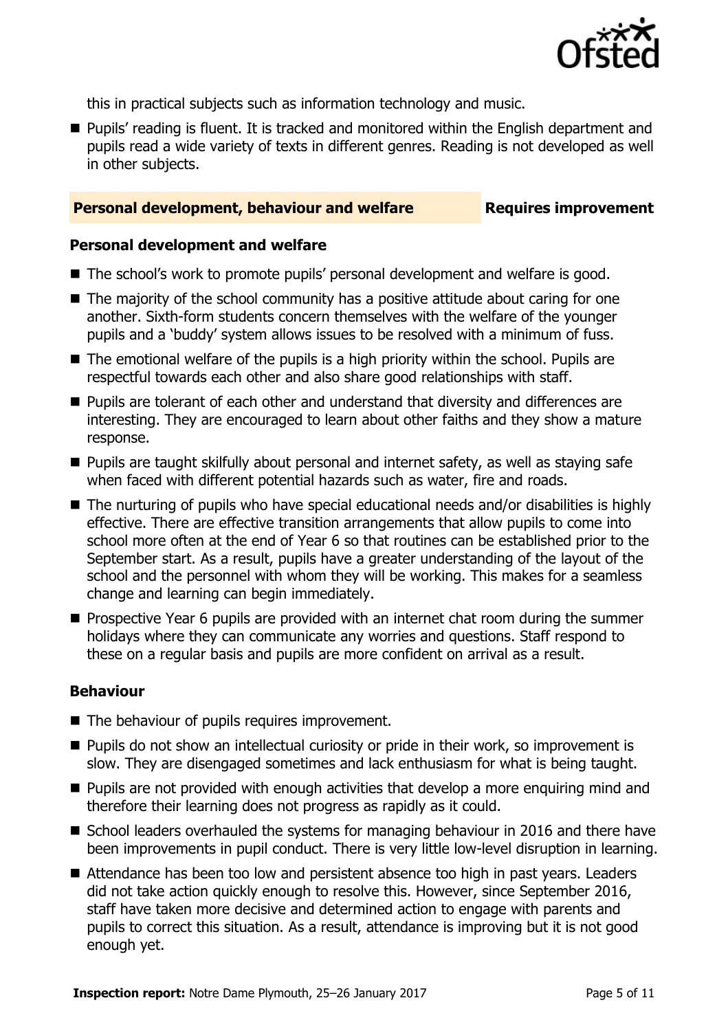

this in practical subjects such as information technology and music.

**Pupils' reading is fluent. It is tracked and monitored within the English department and** pupils read a wide variety of texts in different genres. Reading is not developed as well in other subjects.

### **Personal development, behaviour and welfare Fig. 2.1 Requires improvement**

### **Personal development and welfare**

- The school's work to promote pupils' personal development and welfare is good.
- $\blacksquare$  The majority of the school community has a positive attitude about caring for one another. Sixth-form students concern themselves with the welfare of the younger pupils and a 'buddy' system allows issues to be resolved with a minimum of fuss.
- The emotional welfare of the pupils is a high priority within the school. Pupils are respectful towards each other and also share good relationships with staff.
- **Pupils are tolerant of each other and understand that diversity and differences are** interesting. They are encouraged to learn about other faiths and they show a mature response.
- **Pupils are taught skilfully about personal and internet safety, as well as staying safe** when faced with different potential hazards such as water, fire and roads.
- The nurturing of pupils who have special educational needs and/or disabilities is highly effective. There are effective transition arrangements that allow pupils to come into school more often at the end of Year 6 so that routines can be established prior to the September start. As a result, pupils have a greater understanding of the layout of the school and the personnel with whom they will be working. This makes for a seamless change and learning can begin immediately.
- **Prospective Year 6 pupils are provided with an internet chat room during the summer** holidays where they can communicate any worries and questions. Staff respond to these on a regular basis and pupils are more confident on arrival as a result.

### **Behaviour**

- The behaviour of pupils requires improvement.
- **Pupils do not show an intellectual curiosity or pride in their work, so improvement is** slow. They are disengaged sometimes and lack enthusiasm for what is being taught.
- **Pupils are not provided with enough activities that develop a more enquiring mind and** therefore their learning does not progress as rapidly as it could.
- School leaders overhauled the systems for managing behaviour in 2016 and there have been improvements in pupil conduct. There is very little low-level disruption in learning.
- Attendance has been too low and persistent absence too high in past years. Leaders did not take action quickly enough to resolve this. However, since September 2016, staff have taken more decisive and determined action to engage with parents and pupils to correct this situation. As a result, attendance is improving but it is not good enough yet.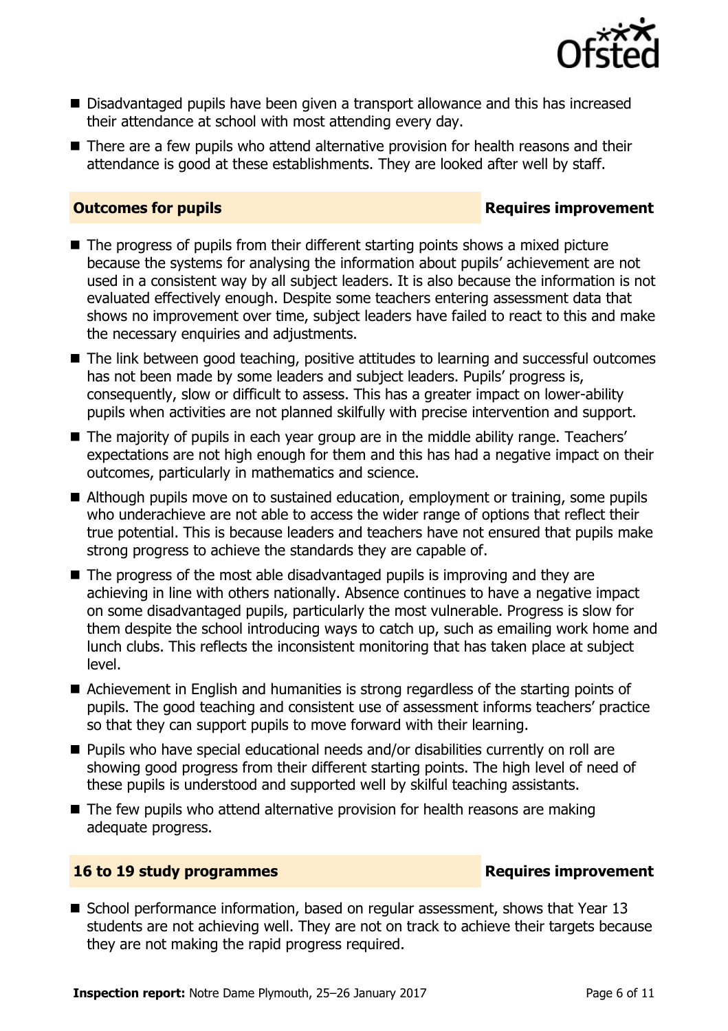

- Disadvantaged pupils have been given a transport allowance and this has increased their attendance at school with most attending every day.
- There are a few pupils who attend alternative provision for health reasons and their attendance is good at these establishments. They are looked after well by staff.

### **Outcomes for pupils Requires improvement**

- $\blacksquare$  The progress of pupils from their different starting points shows a mixed picture because the systems for analysing the information about pupils' achievement are not used in a consistent way by all subject leaders. It is also because the information is not evaluated effectively enough. Despite some teachers entering assessment data that shows no improvement over time, subject leaders have failed to react to this and make the necessary enquiries and adjustments.
- The link between good teaching, positive attitudes to learning and successful outcomes has not been made by some leaders and subject leaders. Pupils' progress is, consequently, slow or difficult to assess. This has a greater impact on lower-ability pupils when activities are not planned skilfully with precise intervention and support.
- The majority of pupils in each year group are in the middle ability range. Teachers' expectations are not high enough for them and this has had a negative impact on their outcomes, particularly in mathematics and science.
- Although pupils move on to sustained education, employment or training, some pupils who underachieve are not able to access the wider range of options that reflect their true potential. This is because leaders and teachers have not ensured that pupils make strong progress to achieve the standards they are capable of.
- The progress of the most able disadvantaged pupils is improving and they are achieving in line with others nationally. Absence continues to have a negative impact on some disadvantaged pupils, particularly the most vulnerable. Progress is slow for them despite the school introducing ways to catch up, such as emailing work home and lunch clubs. This reflects the inconsistent monitoring that has taken place at subject level.
- Achievement in English and humanities is strong regardless of the starting points of pupils. The good teaching and consistent use of assessment informs teachers' practice so that they can support pupils to move forward with their learning.
- Pupils who have special educational needs and/or disabilities currently on roll are showing good progress from their different starting points. The high level of need of these pupils is understood and supported well by skilful teaching assistants.
- $\blacksquare$  The few pupils who attend alternative provision for health reasons are making adequate progress.

### **16 to 19 study programmes Requires improvement**

School performance information, based on regular assessment, shows that Year 13 students are not achieving well. They are not on track to achieve their targets because they are not making the rapid progress required.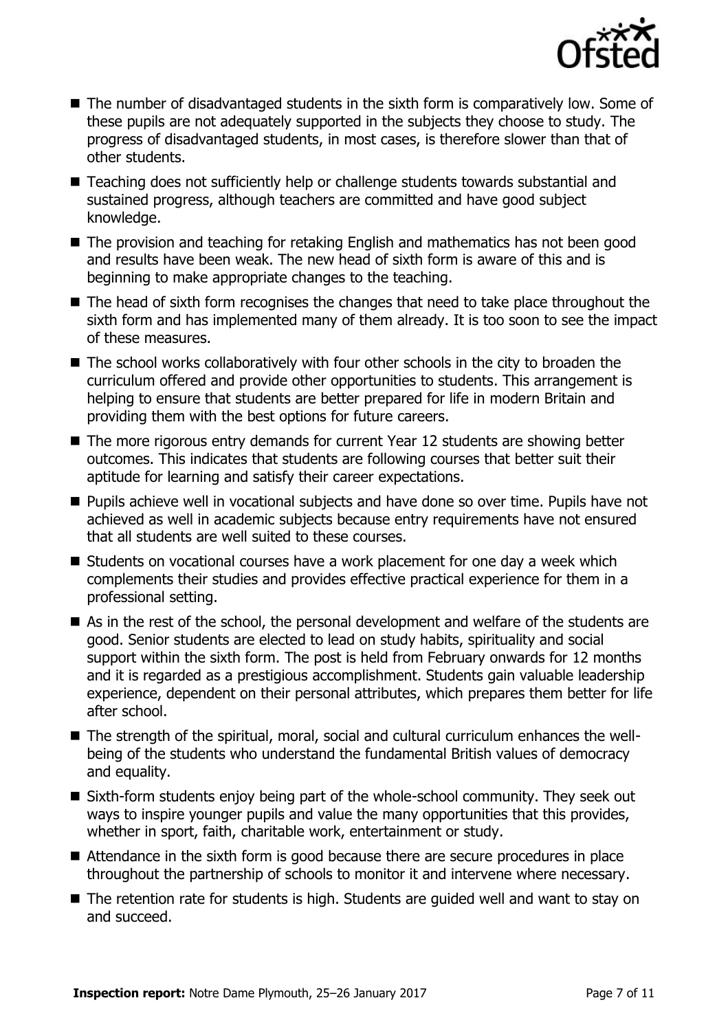

- The number of disadvantaged students in the sixth form is comparatively low. Some of these pupils are not adequately supported in the subjects they choose to study. The progress of disadvantaged students, in most cases, is therefore slower than that of other students.
- Teaching does not sufficiently help or challenge students towards substantial and sustained progress, although teachers are committed and have good subject knowledge.
- The provision and teaching for retaking English and mathematics has not been good and results have been weak. The new head of sixth form is aware of this and is beginning to make appropriate changes to the teaching.
- The head of sixth form recognises the changes that need to take place throughout the sixth form and has implemented many of them already. It is too soon to see the impact of these measures.
- The school works collaboratively with four other schools in the city to broaden the curriculum offered and provide other opportunities to students. This arrangement is helping to ensure that students are better prepared for life in modern Britain and providing them with the best options for future careers.
- The more rigorous entry demands for current Year 12 students are showing better outcomes. This indicates that students are following courses that better suit their aptitude for learning and satisfy their career expectations.
- **Pupils achieve well in vocational subjects and have done so over time. Pupils have not** achieved as well in academic subjects because entry requirements have not ensured that all students are well suited to these courses.
- Students on vocational courses have a work placement for one day a week which complements their studies and provides effective practical experience for them in a professional setting.
- As in the rest of the school, the personal development and welfare of the students are good. Senior students are elected to lead on study habits, spirituality and social support within the sixth form. The post is held from February onwards for 12 months and it is regarded as a prestigious accomplishment. Students gain valuable leadership experience, dependent on their personal attributes, which prepares them better for life after school.
- The strength of the spiritual, moral, social and cultural curriculum enhances the wellbeing of the students who understand the fundamental British values of democracy and equality.
- Sixth-form students enjoy being part of the whole-school community. They seek out ways to inspire younger pupils and value the many opportunities that this provides, whether in sport, faith, charitable work, entertainment or study.
- Attendance in the sixth form is good because there are secure procedures in place throughout the partnership of schools to monitor it and intervene where necessary.
- The retention rate for students is high. Students are guided well and want to stay on and succeed.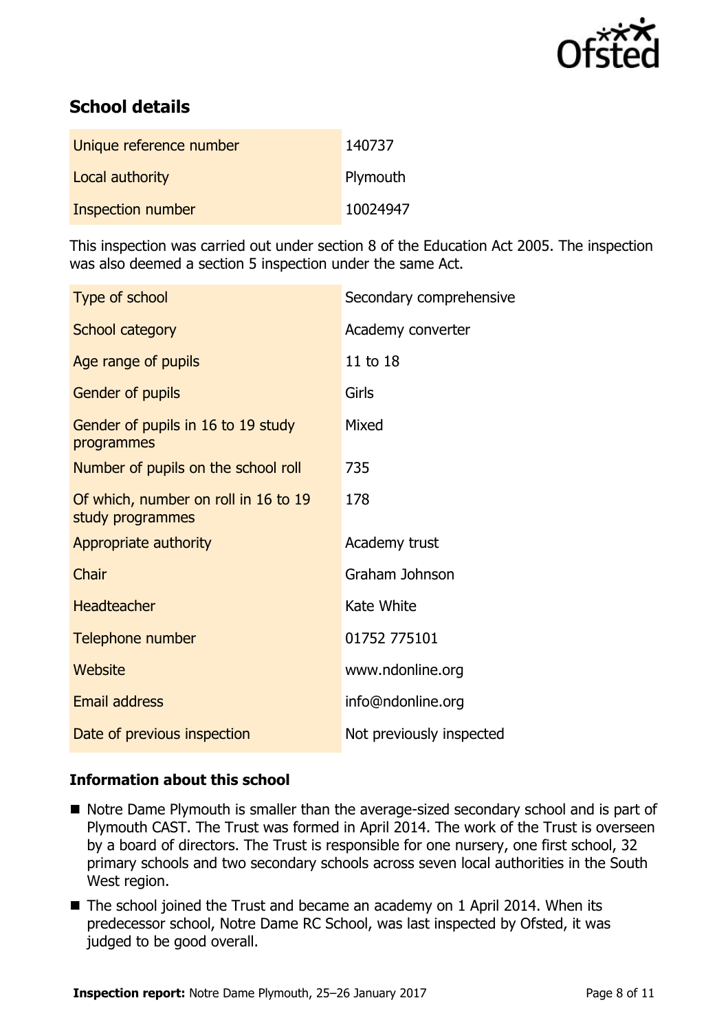

# **School details**

| Unique reference number | 140737   |
|-------------------------|----------|
| Local authority         | Plymouth |
| Inspection number       | 10024947 |

This inspection was carried out under section 8 of the Education Act 2005. The inspection was also deemed a section 5 inspection under the same Act.

| Type of school                                           | Secondary comprehensive  |
|----------------------------------------------------------|--------------------------|
| School category                                          | Academy converter        |
| Age range of pupils                                      | 11 to 18                 |
| Gender of pupils                                         | Girls                    |
| Gender of pupils in 16 to 19 study<br>programmes         | Mixed                    |
| Number of pupils on the school roll                      | 735                      |
| Of which, number on roll in 16 to 19<br>study programmes | 178                      |
| Appropriate authority                                    | Academy trust            |
| <b>Chair</b>                                             | Graham Johnson           |
| <b>Headteacher</b>                                       | Kate White               |
| Telephone number                                         | 01752 775101             |
| Website                                                  | www.ndonline.org         |
| <b>Email address</b>                                     | info@ndonline.org        |
| Date of previous inspection                              | Not previously inspected |

### **Information about this school**

- Notre Dame Plymouth is smaller than the average-sized secondary school and is part of Plymouth CAST. The Trust was formed in April 2014. The work of the Trust is overseen by a board of directors. The Trust is responsible for one nursery, one first school, 32 primary schools and two secondary schools across seven local authorities in the South West region.
- The school joined the Trust and became an academy on 1 April 2014. When its predecessor school, Notre Dame RC School, was last inspected by Ofsted, it was judged to be good overall.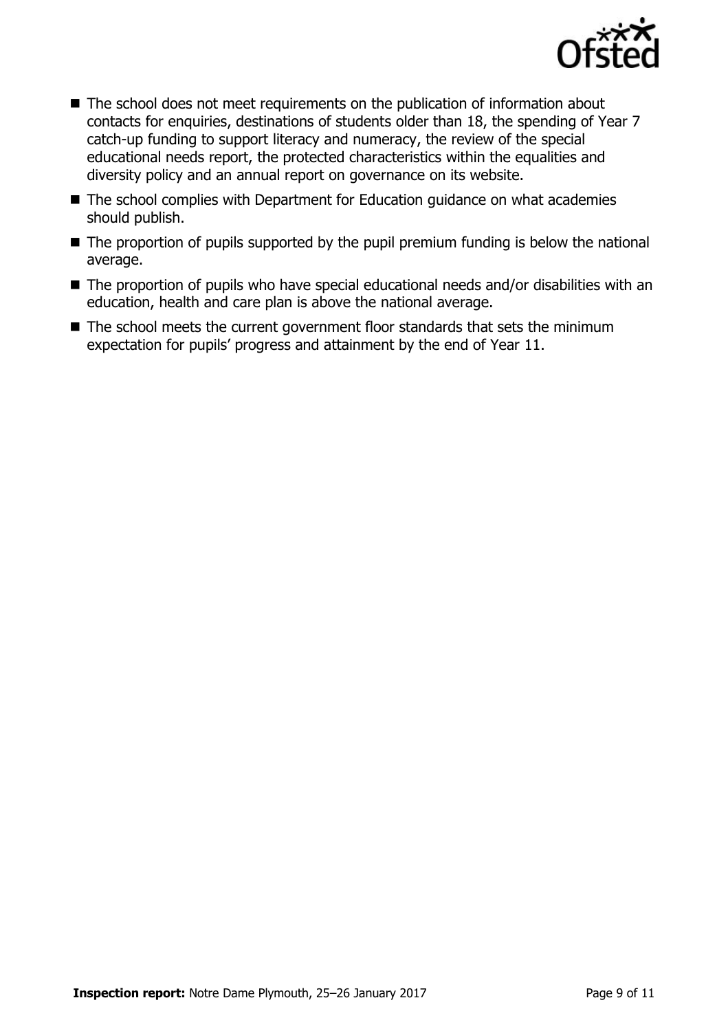

- The school does not meet requirements on the publication of information about contacts for enquiries, destinations of students older than 18, the spending of Year 7 catch-up funding to support literacy and numeracy, the review of the special educational needs report, the protected characteristics within the equalities and diversity policy and an annual report on governance on its website.
- The school complies with Department for Education guidance on what academies should publish.
- The proportion of pupils supported by the pupil premium funding is below the national average.
- The proportion of pupils who have special educational needs and/or disabilities with an education, health and care plan is above the national average.
- The school meets the current government floor standards that sets the minimum expectation for pupils' progress and attainment by the end of Year 11.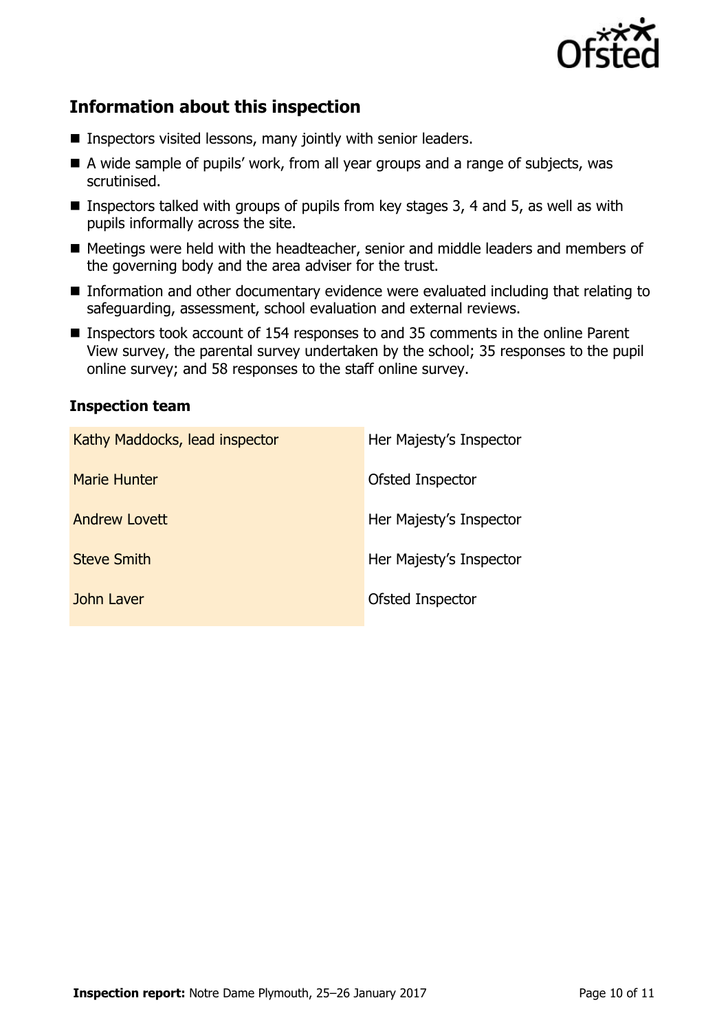

# **Information about this inspection**

- **Inspectors visited lessons, many jointly with senior leaders.**
- A wide sample of pupils' work, from all year groups and a range of subjects, was scrutinised.
- **Inspectors talked with groups of pupils from key stages 3, 4 and 5, as well as with** pupils informally across the site.
- $\blacksquare$  Meetings were held with the headteacher, senior and middle leaders and members of the governing body and the area adviser for the trust.
- **Information and other documentary evidence were evaluated including that relating to** safeguarding, assessment, school evaluation and external reviews.
- Inspectors took account of 154 responses to and 35 comments in the online Parent View survey, the parental survey undertaken by the school; 35 responses to the pupil online survey; and 58 responses to the staff online survey.

### **Inspection team**

| Her Majesty's Inspector |
|-------------------------|
| Ofsted Inspector        |
| Her Majesty's Inspector |
| Her Majesty's Inspector |
| Ofsted Inspector        |
|                         |